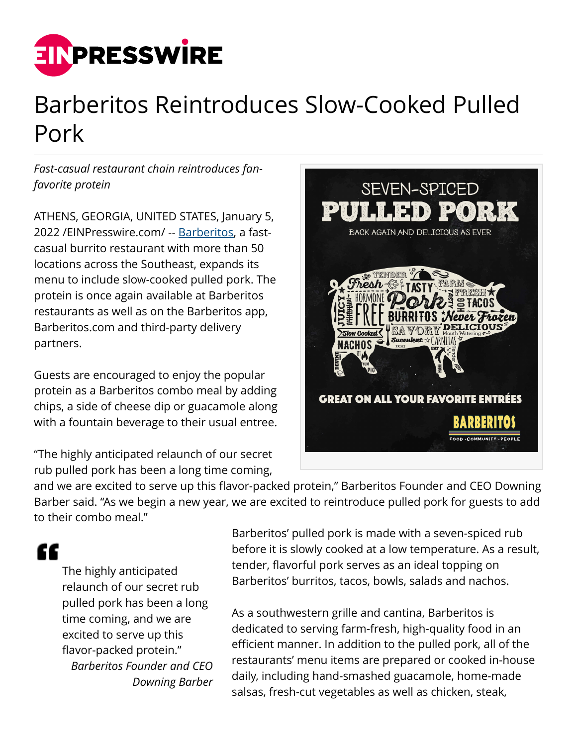

## Barberitos Reintroduces Slow-Cooked Pulled Pork

*Fast-casual restaurant chain reintroduces fanfavorite protein*

ATHENS, GEORGIA, UNITED STATES, January 5, 2022 /[EINPresswire.com](http://www.einpresswire.com)/ -- [Barberitos,](http://www.barberitos.com) a fastcasual burrito restaurant with more than 50 locations across the Southeast, expands its menu to include slow-cooked pulled pork. The protein is once again available at Barberitos restaurants as well as on the Barberitos app, Barberitos.com and third-party delivery partners.

Guests are encouraged to enjoy the popular protein as a Barberitos combo meal by adding chips, a side of cheese dip or guacamole along with a fountain beverage to their usual entree.

"The highly anticipated relaunch of our secret rub pulled pork has been a long time coming,



and we are excited to serve up this flavor-packed protein," Barberitos Founder and CEO Downing Barber said. "As we begin a new year, we are excited to reintroduce pulled pork for guests to add to their combo meal."

"

The highly anticipated relaunch of our secret rub pulled pork has been a long time coming, and we are excited to serve up this flavor-packed protein." *Barberitos Founder and CEO Downing Barber*

Barberitos' pulled pork is made with a seven-spiced rub before it is slowly cooked at a low temperature. As a result, tender, flavorful pork serves as an ideal topping on Barberitos' burritos, tacos, bowls, salads and nachos.

As a southwestern grille and cantina, Barberitos is dedicated to serving farm-fresh, high-quality food in an efficient manner. In addition to the pulled pork, all of the restaurants' menu items are prepared or cooked in-house daily, including hand-smashed guacamole, home-made salsas, fresh-cut vegetables as well as chicken, steak,